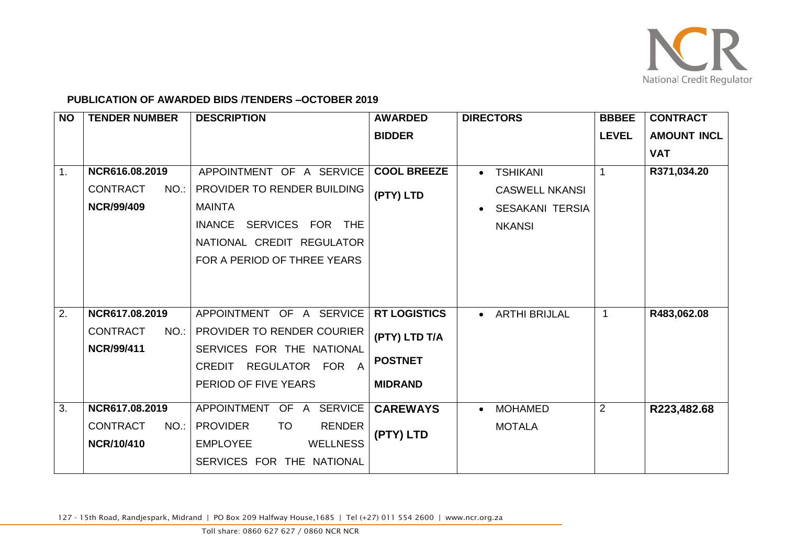

## **PUBLICATION OF AWARDED BIDS /TENDERS –OCTOBER 2019**

| <b>NO</b>      | <b>TENDER NUMBER</b>                                           | <b>DESCRIPTION</b>                                                                                                                                                        | <b>AWARDED</b>                  | <b>DIRECTORS</b>                                                                                 | <b>BBBEE</b>   | <b>CONTRACT</b>    |
|----------------|----------------------------------------------------------------|---------------------------------------------------------------------------------------------------------------------------------------------------------------------------|---------------------------------|--------------------------------------------------------------------------------------------------|----------------|--------------------|
|                |                                                                |                                                                                                                                                                           | <b>BIDDER</b>                   |                                                                                                  | <b>LEVEL</b>   | <b>AMOUNT INCL</b> |
|                |                                                                |                                                                                                                                                                           |                                 |                                                                                                  |                | <b>VAT</b>         |
| $\mathbf{1}$ . | NCR616.08.2019<br><b>CONTRACT</b><br>NO.:<br><b>NCR/99/409</b> | APPOINTMENT OF A SERVICE<br>PROVIDER TO RENDER BUILDING<br><b>MAINTA</b><br>SERVICES FOR THE<br><b>INANCE</b><br>NATIONAL CREDIT REGULATOR<br>FOR A PERIOD OF THREE YEARS | <b>COOL BREEZE</b><br>(PTY) LTD | <b>TSHIKANI</b><br>$\bullet$<br><b>CASWELL NKANSI</b><br><b>SESAKANI TERSIA</b><br><b>NKANSI</b> | 1              | R371,034.20        |
| 2.             | NCR617.08.2019                                                 | APPOINTMENT OF A SERVICE                                                                                                                                                  | <b>RT LOGISTICS</b>             | <b>ARTHI BRIJLAL</b><br>$\bullet$                                                                | $\mathbf 1$    | R483,062.08        |
|                | <b>CONTRACT</b><br>$NO.$ :<br><b>NCR/99/411</b>                | PROVIDER TO RENDER COURIER<br>SERVICES FOR THE NATIONAL                                                                                                                   | (PTY) LTD T/A                   |                                                                                                  |                |                    |
|                |                                                                | REGULATOR FOR A<br>CREDIT                                                                                                                                                 | <b>POSTNET</b>                  |                                                                                                  |                |                    |
|                |                                                                | PERIOD OF FIVE YEARS                                                                                                                                                      | <b>MIDRAND</b>                  |                                                                                                  |                |                    |
| 3.             | NCR617.08.2019                                                 | APPOINTMENT OF A SERVICE                                                                                                                                                  | <b>CAREWAYS</b>                 | <b>MOHAMED</b><br>$\bullet$                                                                      | $\overline{2}$ | R223,482.68        |
|                | <b>CONTRACT</b><br>$NO.$ :<br><b>NCR/10/410</b>                | <b>PROVIDER</b><br><b>TO</b><br><b>RENDER</b><br><b>EMPLOYEE</b><br><b>WELLNESS</b>                                                                                       | (PTY) LTD                       | <b>MOTALA</b>                                                                                    |                |                    |
|                |                                                                | SERVICES FOR THE NATIONAL                                                                                                                                                 |                                 |                                                                                                  |                |                    |

127 - 15th Road, Randjespark, Midrand | PO Box 209 Halfway House,1685 | Tel (+27) 011 554 2600 | www.ncr.org.za